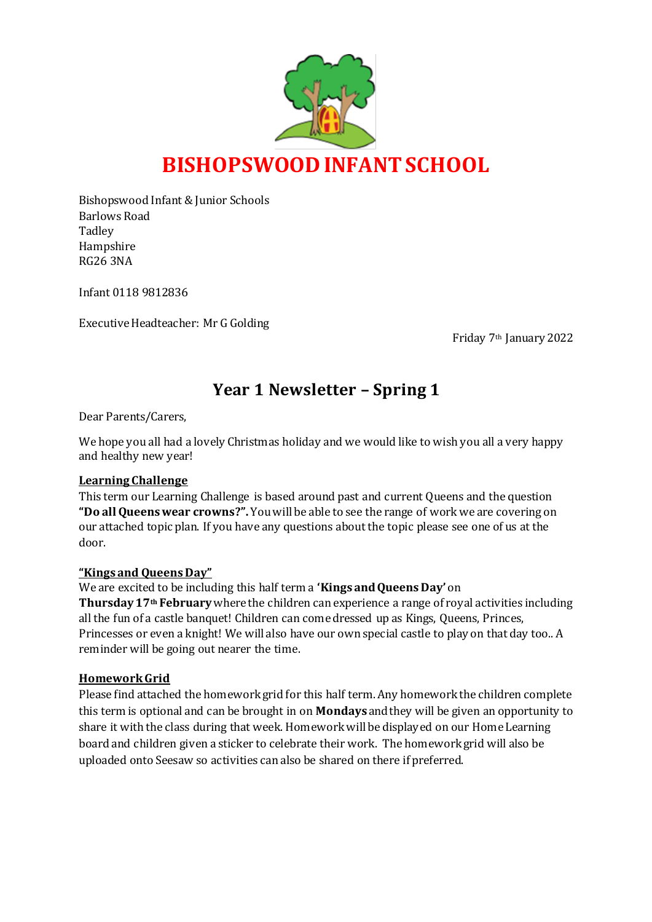

Bishopswood Infant & Junior Schools Barlows Road **Tadley** Hampshire RG26 3NA

Infant 0118 9812836

Executive Headteacher: Mr G Golding

Friday 7th January 2022

# **Year 1 Newsletter – Spring 1**

Dear Parents/Carers,

We hope you all had a lovely Christmas holiday and we would like to wish you all a very happy and healthy new year!

#### **Learning Challenge**

This term our Learning Challenge is based around past and current Queens and the question **"Do all Queens wear crowns?".** You will be able to see the range of work we are covering on our attached topic plan. If you have any questions about the topic please see one of us at the door.

#### **"Kings and QueensDay"**

We are excited to be including this half term a **'Kings and Queens Day'** on

**Thursday 17th February** where the children can experience a range of royal activities including all the fun of a castle banquet! Children can come dressed up as Kings, Queens, Princes, Princesses or even a knight! We will also have our own special castle to play on that day too.. A reminder will be going out nearer the time.

#### **Homework Grid**

Please find attached the homework grid for this half term. Any homework the children complete this term is optional and can be brought in on **Mondays** and they will be given an opportunity to share it with the class during that week. Homework will be displayed on our Home Learning board and children given a sticker to celebrate their work. The homework grid will also be uploaded onto Seesaw so activities can also be shared on there if preferred.